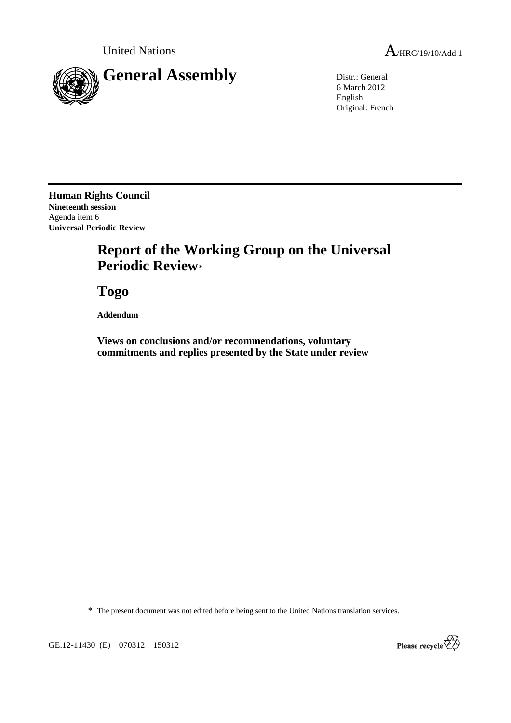

6 March 2012 English Original: French

**Human Rights Council Nineteenth session**  Agenda item 6 **Universal Periodic Review** 

## **Report of the Working Group on the Universal Periodic Review**\*

 **Togo** 

 **Addendum** 

 **Views on conclusions and/or recommendations, voluntary commitments and replies presented by the State under review** 

\* The present document was not edited before being sent to the United Nations translation services.

GE.12-11430 (E) 070312 150312